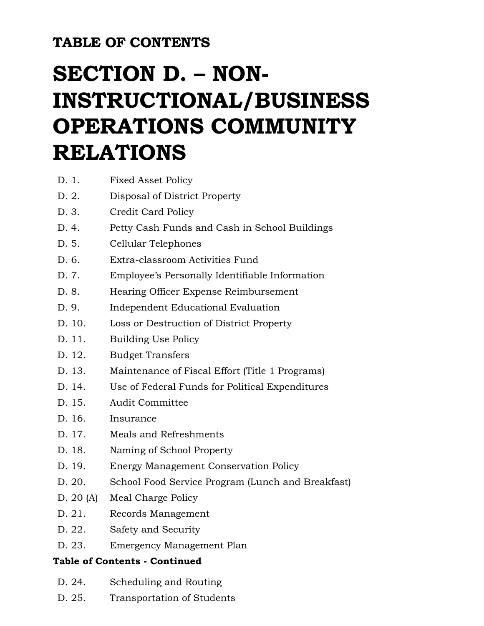### **TABLE OF CONTENTS**

# **SECTION D. – NON-INSTRUCTIONAL/BUSINESS OPERATIONS COMMUNITY RELATIONS**

- D. 2. Disposal of District Property
- D. 3. Credit Card Policy
- D. 4. Petty Cash Funds and Cash in School Buildings
- D. 5. Cellular Telephones
- D. 6. Extra-classroom Activities Fund
- D. 7. Employee's Personally Identifiable Information
- D. 8. Hearing Officer Expense Reimbursement
- D. 9. Independent Educational Evaluation
- D. 10. Loss or Destruction of District Property
- D. 11. Building Use Policy
- D. 12. Budget Transfers
- D. 13. Maintenance of Fiscal Effort (Title 1 Programs)
- D. 14. Use of Federal Funds for Political Expenditures
- D. 15. Audit Committee
- D. 16. Insurance
- D. 17. Meals and Refreshments
- D. 18. Naming of School Property
- D. 19. Energy Management Conservation Policy
- D. 20. School Food Service Program (Lunch and Breakfast)
- D. 20 (A) Meal Charge Policy
- D. 21. Records Management
- D. 22. Safety and Security
- D. 23. Emergency Management Plan

### **Table of Contents - Continued**

- D. 24. Scheduling and Routing
- D. 25. Transportation of Students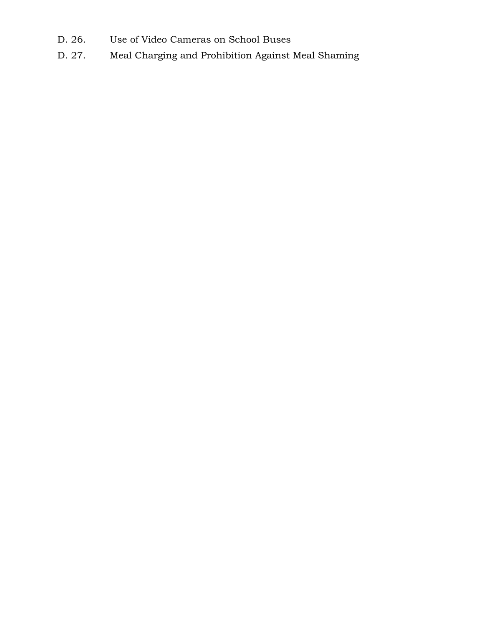- D. 26. Use of Video Cameras on School Buses
- D. 27. Meal Charging and Prohibition Against Meal Shaming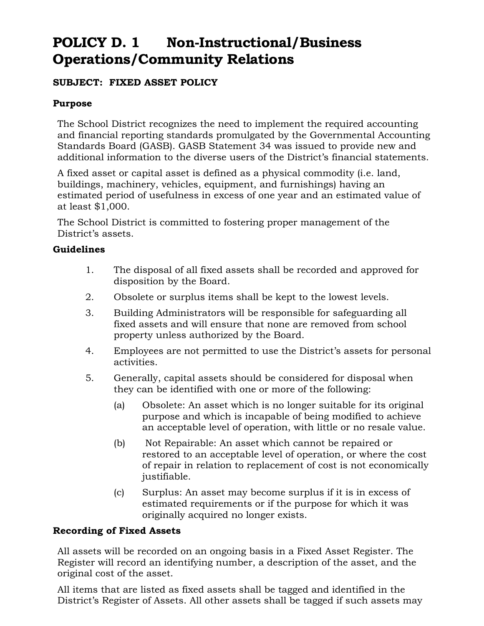### **POLICY D. 1 Non-Instructional/Business Operations/Community Relations**

### **SUBJECT: FIXED ASSET POLICY**

#### **Purpose**

The School District recognizes the need to implement the required accounting and financial reporting standards promulgated by the Governmental Accounting Standards Board (GASB). GASB Statement 34 was issued to provide new and additional information to the diverse users of the District's financial statements.

A fixed asset or capital asset is defined as a physical commodity (i.e. land, buildings, machinery, vehicles, equipment, and furnishings) having an estimated period of usefulness in excess of one year and an estimated value of at least \$1,000.

The School District is committed to fostering proper management of the District's assets.

#### **Guidelines**

- 1. The disposal of all fixed assets shall be recorded and approved for disposition by the Board.
- 2. Obsolete or surplus items shall be kept to the lowest levels.
- 3. Building Administrators will be responsible for safeguarding all fixed assets and will ensure that none are removed from school property unless authorized by the Board.
- 4. Employees are not permitted to use the District's assets for personal activities.
- 5. Generally, capital assets should be considered for disposal when they can be identified with one or more of the following:
	- (a) Obsolete: An asset which is no longer suitable for its original purpose and which is incapable of being modified to achieve an acceptable level of operation, with little or no resale value.
	- (b) Not Repairable: An asset which cannot be repaired or restored to an acceptable level of operation, or where the cost of repair in relation to replacement of cost is not economically justifiable.
	- (c) Surplus: An asset may become surplus if it is in excess of estimated requirements or if the purpose for which it was originally acquired no longer exists.

#### **Recording of Fixed Assets**

All assets will be recorded on an ongoing basis in a Fixed Asset Register. The Register will record an identifying number, a description of the asset, and the original cost of the asset.

All items that are listed as fixed assets shall be tagged and identified in the District's Register of Assets. All other assets shall be tagged if such assets may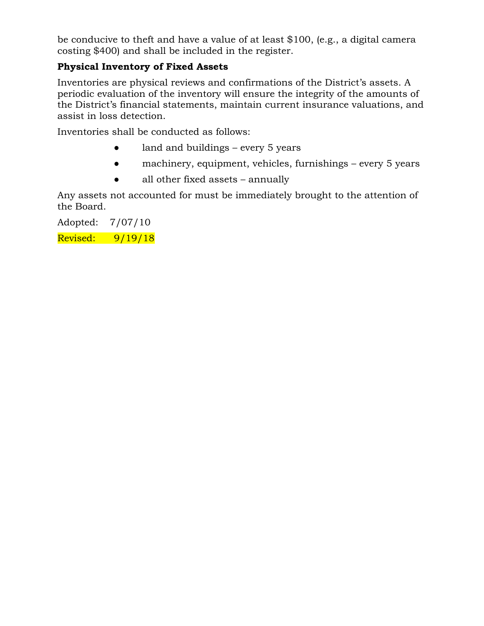be conducive to theft and have a value of at least \$100, (e.g., a digital camera costing \$400) and shall be included in the register.

### **Physical Inventory of Fixed Assets**

Inventories are physical reviews and confirmations of the District's assets. A periodic evaluation of the inventory will ensure the integrity of the amounts of the District's financial statements, maintain current insurance valuations, and assist in loss detection.

Inventories shall be conducted as follows:

- land and buildings every 5 years
- machinery, equipment, vehicles, furnishings every 5 years
- all other fixed assets annually

Any assets not accounted for must be immediately brought to the attention of the Board.

Adopted: 7/07/10

Revised: 9/19/18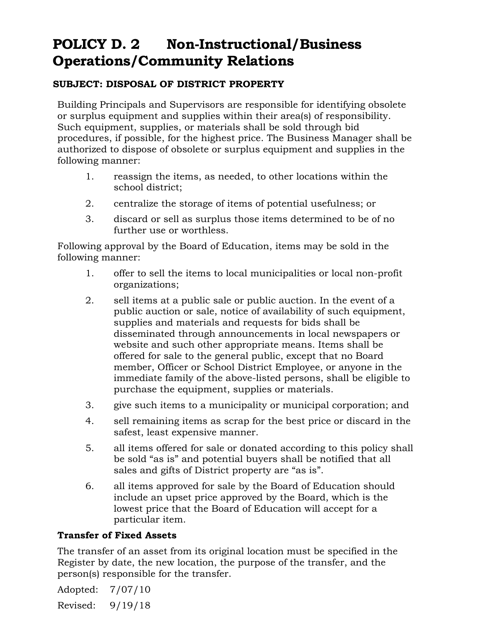### **POLICY D. 2 Non-Instructional/Business Operations/Community Relations**

#### **SUBJECT: DISPOSAL OF DISTRICT PROPERTY**

Building Principals and Supervisors are responsible for identifying obsolete or surplus equipment and supplies within their area(s) of responsibility. Such equipment, supplies, or materials shall be sold through bid procedures, if possible, for the highest price. The Business Manager shall be authorized to dispose of obsolete or surplus equipment and supplies in the following manner:

- 1. reassign the items, as needed, to other locations within the school district;
- 2. centralize the storage of items of potential usefulness; or
- 3. discard or sell as surplus those items determined to be of no further use or worthless.

Following approval by the Board of Education, items may be sold in the following manner:

- 1. offer to sell the items to local municipalities or local non-profit organizations;
- 2. sell items at a public sale or public auction. In the event of a public auction or sale, notice of availability of such equipment, supplies and materials and requests for bids shall be disseminated through announcements in local newspapers or website and such other appropriate means. Items shall be offered for sale to the general public, except that no Board member, Officer or School District Employee, or anyone in the immediate family of the above-listed persons, shall be eligible to purchase the equipment, supplies or materials.
- 3. give such items to a municipality or municipal corporation; and
- 4. sell remaining items as scrap for the best price or discard in the safest, least expensive manner.
- 5. all items offered for sale or donated according to this policy shall be sold "as is" and potential buyers shall be notified that all sales and gifts of District property are "as is".
- 6. all items approved for sale by the Board of Education should include an upset price approved by the Board, which is the lowest price that the Board of Education will accept for a particular item.

#### **Transfer of Fixed Assets**

The transfer of an asset from its original location must be specified in the Register by date, the new location, the purpose of the transfer, and the person(s) responsible for the transfer.

Adopted: 7/07/10 Revised: 9/19/18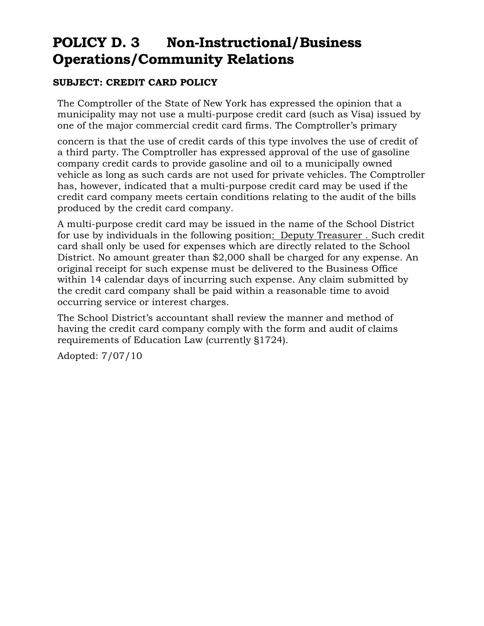### **POLICY D. 3 Non-Instructional/Business Operations/Community Relations**

### **SUBJECT: CREDIT CARD POLICY**

The Comptroller of the State of New York has expressed the opinion that a municipality may not use a multi-purpose credit card (such as Visa) issued by one of the major commercial credit card firms. The Comptroller's primary

concern is that the use of credit cards of this type involves the use of credit of a third party. The Comptroller has expressed approval of the use of gasoline company credit cards to provide gasoline and oil to a municipally owned vehicle as long as such cards are not used for private vehicles. The Comptroller has, however, indicated that a multi-purpose credit card may be used if the credit card company meets certain conditions relating to the audit of the bills produced by the credit card company.

A multi-purpose credit card may be issued in the name of the School District for use by individuals in the following position: Deputy Treasurer . Such credit card shall only be used for expenses which are directly related to the School District. No amount greater than \$2,000 shall be charged for any expense. An original receipt for such expense must be delivered to the Business Office within 14 calendar days of incurring such expense. Any claim submitted by the credit card company shall be paid within a reasonable time to avoid occurring service or interest charges.

The School District's accountant shall review the manner and method of having the credit card company comply with the form and audit of claims requirements of Education Law (currently §1724).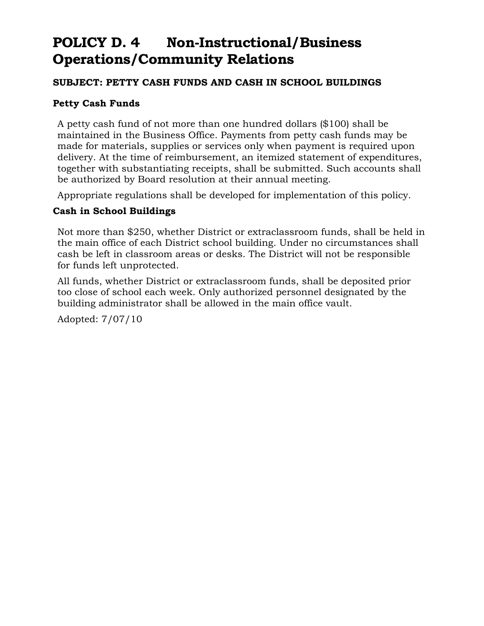### **POLICY D. 4 Non-Instructional/Business Operations/Community Relations**

#### **SUBJECT: PETTY CASH FUNDS AND CASH IN SCHOOL BUILDINGS**

#### **Petty Cash Funds**

A petty cash fund of not more than one hundred dollars (\$100) shall be maintained in the Business Office. Payments from petty cash funds may be made for materials, supplies or services only when payment is required upon delivery. At the time of reimbursement, an itemized statement of expenditures, together with substantiating receipts, shall be submitted. Such accounts shall be authorized by Board resolution at their annual meeting.

Appropriate regulations shall be developed for implementation of this policy.

#### **Cash in School Buildings**

Not more than \$250, whether District or extraclassroom funds, shall be held in the main office of each District school building. Under no circumstances shall cash be left in classroom areas or desks. The District will not be responsible for funds left unprotected.

All funds, whether District or extraclassroom funds, shall be deposited prior too close of school each week. Only authorized personnel designated by the building administrator shall be allowed in the main office vault.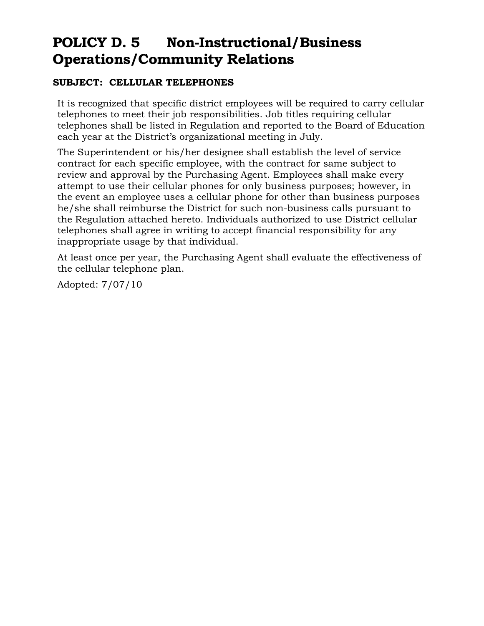### **POLICY D. 5 Non-Instructional/Business Operations/Community Relations**

#### **SUBJECT: CELLULAR TELEPHONES**

It is recognized that specific district employees will be required to carry cellular telephones to meet their job responsibilities. Job titles requiring cellular telephones shall be listed in Regulation and reported to the Board of Education each year at the District's organizational meeting in July.

The Superintendent or his/her designee shall establish the level of service contract for each specific employee, with the contract for same subject to review and approval by the Purchasing Agent. Employees shall make every attempt to use their cellular phones for only business purposes; however, in the event an employee uses a cellular phone for other than business purposes he/she shall reimburse the District for such non-business calls pursuant to the Regulation attached hereto. Individuals authorized to use District cellular telephones shall agree in writing to accept financial responsibility for any inappropriate usage by that individual.

At least once per year, the Purchasing Agent shall evaluate the effectiveness of the cellular telephone plan.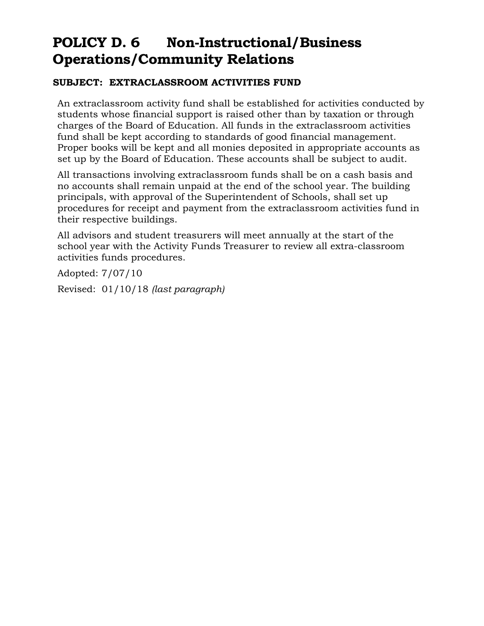### **POLICY D. 6 Non-Instructional/Business Operations/Community Relations**

#### **SUBJECT: EXTRACLASSROOM ACTIVITIES FUND**

An extraclassroom activity fund shall be established for activities conducted by students whose financial support is raised other than by taxation or through charges of the Board of Education. All funds in the extraclassroom activities fund shall be kept according to standards of good financial management. Proper books will be kept and all monies deposited in appropriate accounts as set up by the Board of Education. These accounts shall be subject to audit.

All transactions involving extraclassroom funds shall be on a cash basis and no accounts shall remain unpaid at the end of the school year. The building principals, with approval of the Superintendent of Schools, shall set up procedures for receipt and payment from the extraclassroom activities fund in their respective buildings.

All advisors and student treasurers will meet annually at the start of the school year with the Activity Funds Treasurer to review all extra-classroom activities funds procedures.

Adopted: 7/07/10 Revised: 01/10/18 *(last paragraph)*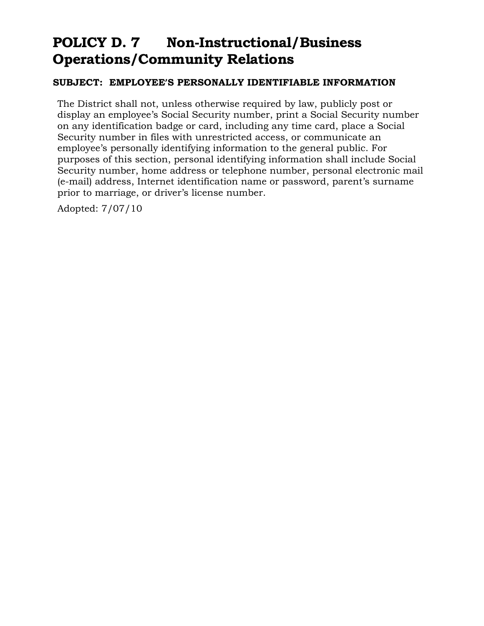### **POLICY D. 7 Non-Instructional/Business Operations/Community Relations**

#### **SUBJECT: EMPLOYEE'S PERSONALLY IDENTIFIABLE INFORMATION**

The District shall not, unless otherwise required by law, publicly post or display an employee's Social Security number, print a Social Security number on any identification badge or card, including any time card, place a Social Security number in files with unrestricted access, or communicate an employee's personally identifying information to the general public. For purposes of this section, personal identifying information shall include Social Security number, home address or telephone number, personal electronic mail (e-mail) address, Internet identification name or password, parent's surname prior to marriage, or driver's license number.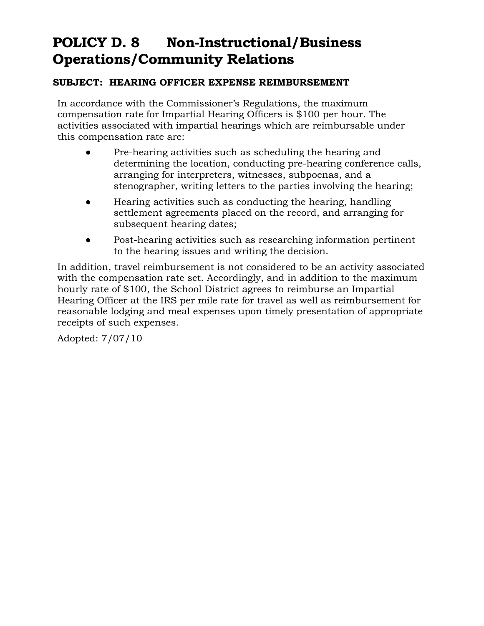### **POLICY D. 8 Non-Instructional/Business Operations/Community Relations**

#### **SUBJECT: HEARING OFFICER EXPENSE REIMBURSEMENT**

In accordance with the Commissioner's Regulations, the maximum compensation rate for Impartial Hearing Officers is \$100 per hour. The activities associated with impartial hearings which are reimbursable under this compensation rate are:

- Pre-hearing activities such as scheduling the hearing and determining the location, conducting pre-hearing conference calls, arranging for interpreters, witnesses, subpoenas, and a stenographer, writing letters to the parties involving the hearing;
- Hearing activities such as conducting the hearing, handling settlement agreements placed on the record, and arranging for subsequent hearing dates;
- Post-hearing activities such as researching information pertinent to the hearing issues and writing the decision.

In addition, travel reimbursement is not considered to be an activity associated with the compensation rate set. Accordingly, and in addition to the maximum hourly rate of \$100, the School District agrees to reimburse an Impartial Hearing Officer at the IRS per mile rate for travel as well as reimbursement for reasonable lodging and meal expenses upon timely presentation of appropriate receipts of such expenses.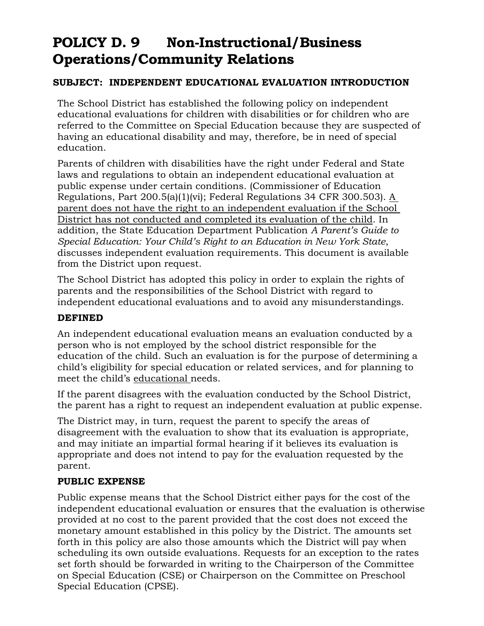### **POLICY D. 9 Non-Instructional/Business Operations/Community Relations**

#### **SUBJECT: INDEPENDENT EDUCATIONAL EVALUATION INTRODUCTION**

The School District has established the following policy on independent educational evaluations for children with disabilities or for children who are referred to the Committee on Special Education because they are suspected of having an educational disability and may, therefore, be in need of special education.

Parents of children with disabilities have the right under Federal and State laws and regulations to obtain an independent educational evaluation at public expense under certain conditions. (Commissioner of Education Regulations, Part 200.5(a)(1)(vi); Federal Regulations 34 CFR 300.503). A parent does not have the right to an independent evaluation if the School District has not conducted and completed its evaluation of the child. In addition, the State Education Department Publication *A Parent's Guide to Special Education: Your Child's Right to an Education in New York State*, discusses independent evaluation requirements. This document is available from the District upon request.

The School District has adopted this policy in order to explain the rights of parents and the responsibilities of the School District with regard to independent educational evaluations and to avoid any misunderstandings.

#### **DEFINED**

An independent educational evaluation means an evaluation conducted by a person who is not employed by the school district responsible for the education of the child. Such an evaluation is for the purpose of determining a child's eligibility for special education or related services, and for planning to meet the child's educational needs.

If the parent disagrees with the evaluation conducted by the School District, the parent has a right to request an independent evaluation at public expense.

The District may, in turn, request the parent to specify the areas of disagreement with the evaluation to show that its evaluation is appropriate, and may initiate an impartial formal hearing if it believes its evaluation is appropriate and does not intend to pay for the evaluation requested by the parent.

#### **PUBLIC EXPENSE**

Public expense means that the School District either pays for the cost of the independent educational evaluation or ensures that the evaluation is otherwise provided at no cost to the parent provided that the cost does not exceed the monetary amount established in this policy by the District. The amounts set forth in this policy are also those amounts which the District will pay when scheduling its own outside evaluations. Requests for an exception to the rates set forth should be forwarded in writing to the Chairperson of the Committee on Special Education (CSE) or Chairperson on the Committee on Preschool Special Education (CPSE).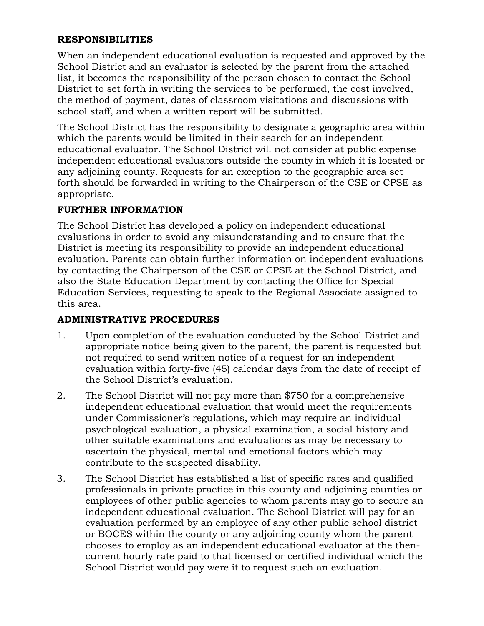#### **RESPONSIBILITIES**

When an independent educational evaluation is requested and approved by the School District and an evaluator is selected by the parent from the attached list, it becomes the responsibility of the person chosen to contact the School District to set forth in writing the services to be performed, the cost involved, the method of payment, dates of classroom visitations and discussions with school staff, and when a written report will be submitted.

The School District has the responsibility to designate a geographic area within which the parents would be limited in their search for an independent educational evaluator. The School District will not consider at public expense independent educational evaluators outside the county in which it is located or any adjoining county. Requests for an exception to the geographic area set forth should be forwarded in writing to the Chairperson of the CSE or CPSE as appropriate.

#### **FURTHER INFORMATION**

The School District has developed a policy on independent educational evaluations in order to avoid any misunderstanding and to ensure that the District is meeting its responsibility to provide an independent educational evaluation. Parents can obtain further information on independent evaluations by contacting the Chairperson of the CSE or CPSE at the School District, and also the State Education Department by contacting the Office for Special Education Services, requesting to speak to the Regional Associate assigned to this area.

#### **ADMINISTRATIVE PROCEDURES**

- 1. Upon completion of the evaluation conducted by the School District and appropriate notice being given to the parent, the parent is requested but not required to send written notice of a request for an independent evaluation within forty-five (45) calendar days from the date of receipt of the School District's evaluation.
- 2. The School District will not pay more than \$750 for a comprehensive independent educational evaluation that would meet the requirements under Commissioner's regulations, which may require an individual psychological evaluation, a physical examination, a social history and other suitable examinations and evaluations as may be necessary to ascertain the physical, mental and emotional factors which may contribute to the suspected disability.
- 3. The School District has established a list of specific rates and qualified professionals in private practice in this county and adjoining counties or employees of other public agencies to whom parents may go to secure an independent educational evaluation. The School District will pay for an evaluation performed by an employee of any other public school district or BOCES within the county or any adjoining county whom the parent chooses to employ as an independent educational evaluator at the thencurrent hourly rate paid to that licensed or certified individual which the School District would pay were it to request such an evaluation.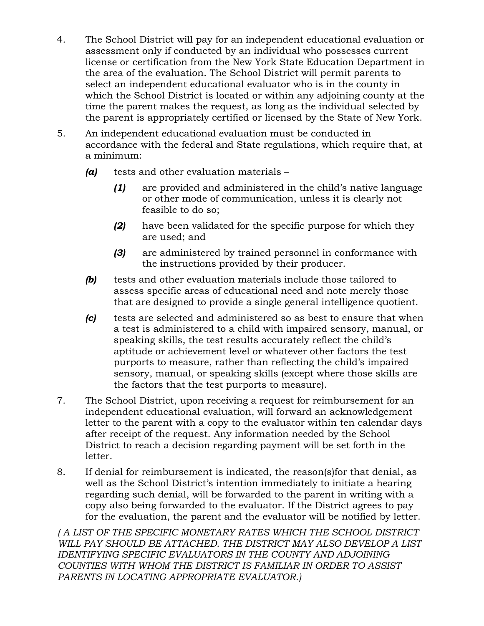- 4. The School District will pay for an independent educational evaluation or assessment only if conducted by an individual who possesses current license or certification from the New York State Education Department in the area of the evaluation. The School District will permit parents to select an independent educational evaluator who is in the county in which the School District is located or within any adjoining county at the time the parent makes the request, as long as the individual selected by the parent is appropriately certified or licensed by the State of New York.
- 5. An independent educational evaluation must be conducted in accordance with the federal and State regulations, which require that, at a minimum:
	- *(a)* tests and other evaluation materials
		- *(1)* are provided and administered in the child's native language or other mode of communication, unless it is clearly not feasible to do so;
		- *(2)* have been validated for the specific purpose for which they are used; and
		- *(3)* are administered by trained personnel in conformance with the instructions provided by their producer.
	- *(b)* tests and other evaluation materials include those tailored to assess specific areas of educational need and note merely those that are designed to provide a single general intelligence quotient.
	- *(c)* tests are selected and administered so as best to ensure that when a test is administered to a child with impaired sensory, manual, or speaking skills, the test results accurately reflect the child's aptitude or achievement level or whatever other factors the test purports to measure, rather than reflecting the child's impaired sensory, manual, or speaking skills (except where those skills are the factors that the test purports to measure).
- 7. The School District, upon receiving a request for reimbursement for an independent educational evaluation, will forward an acknowledgement letter to the parent with a copy to the evaluator within ten calendar days after receipt of the request. Any information needed by the School District to reach a decision regarding payment will be set forth in the letter.
- 8. If denial for reimbursement is indicated, the reason(s)for that denial, as well as the School District's intention immediately to initiate a hearing regarding such denial, will be forwarded to the parent in writing with a copy also being forwarded to the evaluator. If the District agrees to pay for the evaluation, the parent and the evaluator will be notified by letter.

*( A LIST OF THE SPECIFIC MONETARY RATES WHICH THE SCHOOL DISTRICT WILL PAY SHOULD BE ATTACHED. THE DISTRICT MAY ALSO DEVELOP A LIST IDENTIFYING SPECIFIC EVALUATORS IN THE COUNTY AND ADJOINING COUNTIES WITH WHOM THE DISTRICT IS FAMILIAR IN ORDER TO ASSIST PARENTS IN LOCATING APPROPRIATE EVALUATOR.)*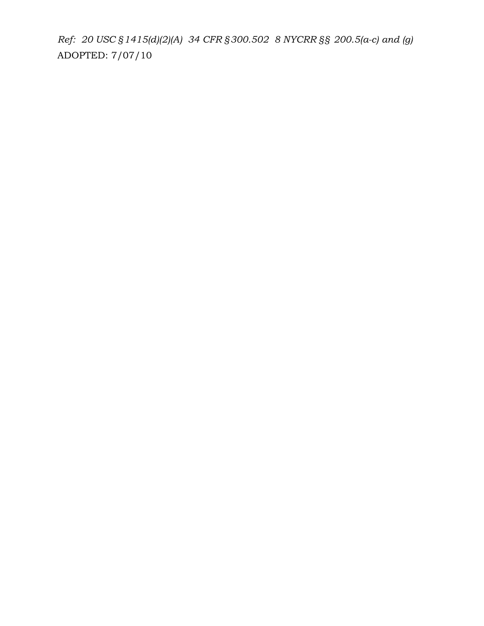*Ref: 20 USC §1415(d)(2)(A) 34 CFR §300.502 8 NYCRR §§ 200.5(a-c) and (g)* ADOPTED: 7/07/10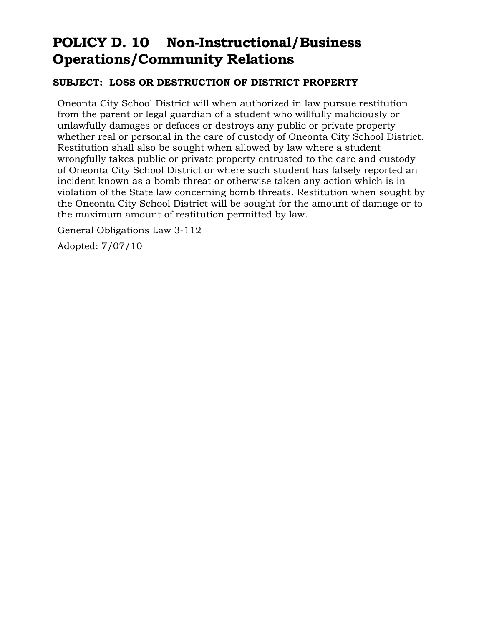### **POLICY D. 10 Non-Instructional/Business Operations/Community Relations**

#### **SUBJECT: LOSS OR DESTRUCTION OF DISTRICT PROPERTY**

Oneonta City School District will when authorized in law pursue restitution from the parent or legal guardian of a student who willfully maliciously or unlawfully damages or defaces or destroys any public or private property whether real or personal in the care of custody of Oneonta City School District. Restitution shall also be sought when allowed by law where a student wrongfully takes public or private property entrusted to the care and custody of Oneonta City School District or where such student has falsely reported an incident known as a bomb threat or otherwise taken any action which is in violation of the State law concerning bomb threats. Restitution when sought by the Oneonta City School District will be sought for the amount of damage or to the maximum amount of restitution permitted by law.

General Obligations Law 3-112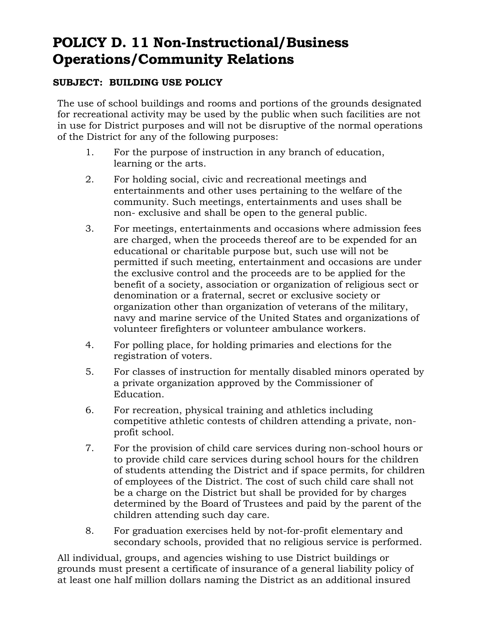### **POLICY D. 11 Non-Instructional/Business Operations/Community Relations**

### **SUBJECT: BUILDING USE POLICY**

The use of school buildings and rooms and portions of the grounds designated for recreational activity may be used by the public when such facilities are not in use for District purposes and will not be disruptive of the normal operations of the District for any of the following purposes:

- 1. For the purpose of instruction in any branch of education, learning or the arts.
- 2. For holding social, civic and recreational meetings and entertainments and other uses pertaining to the welfare of the community. Such meetings, entertainments and uses shall be non- exclusive and shall be open to the general public.
- 3. For meetings, entertainments and occasions where admission fees are charged, when the proceeds thereof are to be expended for an educational or charitable purpose but, such use will not be permitted if such meeting, entertainment and occasions are under the exclusive control and the proceeds are to be applied for the benefit of a society, association or organization of religious sect or denomination or a fraternal, secret or exclusive society or organization other than organization of veterans of the military, navy and marine service of the United States and organizations of volunteer firefighters or volunteer ambulance workers.
- 4. For polling place, for holding primaries and elections for the registration of voters.
- 5. For classes of instruction for mentally disabled minors operated by a private organization approved by the Commissioner of Education.
- 6. For recreation, physical training and athletics including competitive athletic contests of children attending a private, nonprofit school.
- 7. For the provision of child care services during non-school hours or to provide child care services during school hours for the children of students attending the District and if space permits, for children of employees of the District. The cost of such child care shall not be a charge on the District but shall be provided for by charges determined by the Board of Trustees and paid by the parent of the children attending such day care.
- 8. For graduation exercises held by not-for-profit elementary and secondary schools, provided that no religious service is performed.

All individual, groups, and agencies wishing to use District buildings or grounds must present a certificate of insurance of a general liability policy of at least one half million dollars naming the District as an additional insured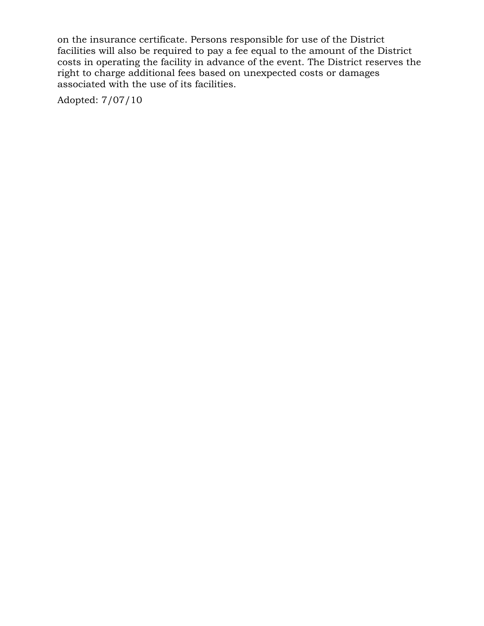on the insurance certificate. Persons responsible for use of the District facilities will also be required to pay a fee equal to the amount of the District costs in operating the facility in advance of the event. The District reserves the right to charge additional fees based on unexpected costs or damages associated with the use of its facilities.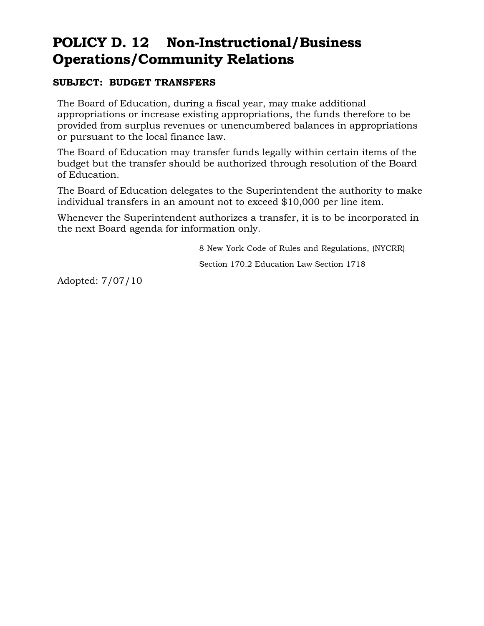### **POLICY D. 12 Non-Instructional/Business Operations/Community Relations**

#### **SUBJECT: BUDGET TRANSFERS**

The Board of Education, during a fiscal year, may make additional appropriations or increase existing appropriations, the funds therefore to be provided from surplus revenues or unencumbered balances in appropriations or pursuant to the local finance law.

The Board of Education may transfer funds legally within certain items of the budget but the transfer should be authorized through resolution of the Board of Education.

The Board of Education delegates to the Superintendent the authority to make individual transfers in an amount not to exceed \$10,000 per line item.

Whenever the Superintendent authorizes a transfer, it is to be incorporated in the next Board agenda for information only.

8 New York Code of Rules and Regulations, (NYCRR)

Section 170.2 Education Law Section 1718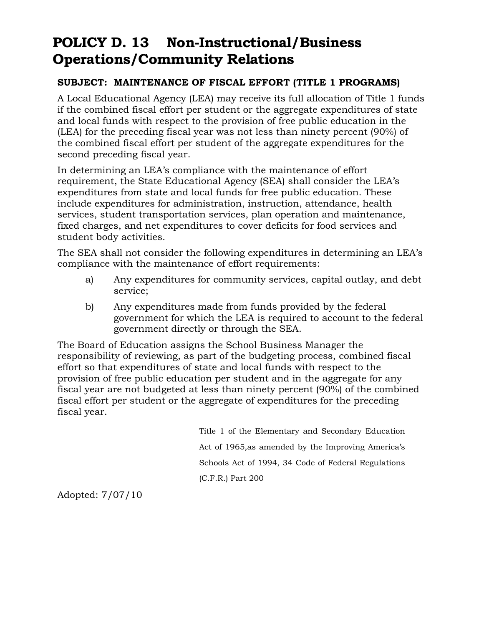### **POLICY D. 13 Non-Instructional/Business Operations/Community Relations**

#### **SUBJECT: MAINTENANCE OF FISCAL EFFORT (TITLE 1 PROGRAMS)**

A Local Educational Agency (LEA) may receive its full allocation of Title 1 funds if the combined fiscal effort per student or the aggregate expenditures of state and local funds with respect to the provision of free public education in the (LEA) for the preceding fiscal year was not less than ninety percent (90%) of the combined fiscal effort per student of the aggregate expenditures for the second preceding fiscal year.

In determining an LEA's compliance with the maintenance of effort requirement, the State Educational Agency (SEA) shall consider the LEA's expenditures from state and local funds for free public education. These include expenditures for administration, instruction, attendance, health services, student transportation services, plan operation and maintenance, fixed charges, and net expenditures to cover deficits for food services and student body activities.

The SEA shall not consider the following expenditures in determining an LEA's compliance with the maintenance of effort requirements:

- a) Any expenditures for community services, capital outlay, and debt service;
- b) Any expenditures made from funds provided by the federal government for which the LEA is required to account to the federal government directly or through the SEA.

The Board of Education assigns the School Business Manager the responsibility of reviewing, as part of the budgeting process, combined fiscal effort so that expenditures of state and local funds with respect to the provision of free public education per student and in the aggregate for any fiscal year are not budgeted at less than ninety percent (90%) of the combined fiscal effort per student or the aggregate of expenditures for the preceding fiscal year.

> Title 1 of the Elementary and Secondary Education Act of 1965,as amended by the Improving America's Schools Act of 1994, 34 Code of Federal Regulations (C.F.R.) Part 200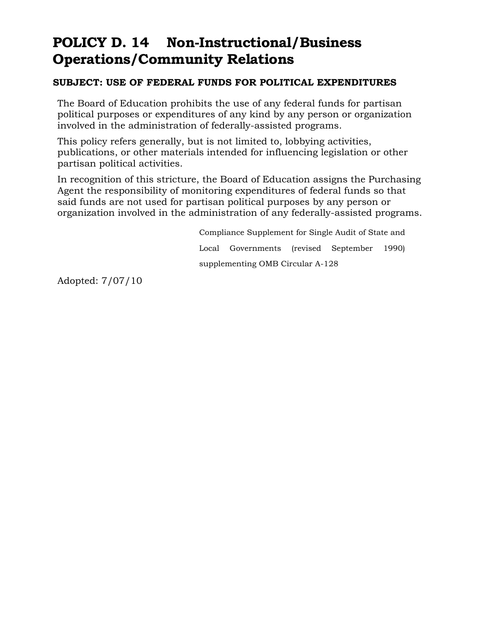### **POLICY D. 14 Non-Instructional/Business Operations/Community Relations**

#### **SUBJECT: USE OF FEDERAL FUNDS FOR POLITICAL EXPENDITURES**

The Board of Education prohibits the use of any federal funds for partisan political purposes or expenditures of any kind by any person or organization involved in the administration of federally-assisted programs.

This policy refers generally, but is not limited to, lobbying activities, publications, or other materials intended for influencing legislation or other partisan political activities.

In recognition of this stricture, the Board of Education assigns the Purchasing Agent the responsibility of monitoring expenditures of federal funds so that said funds are not used for partisan political purposes by any person or organization involved in the administration of any federally-assisted programs.

> Compliance Supplement for Single Audit of State and Local Governments (revised September 1990) supplementing OMB Circular A-128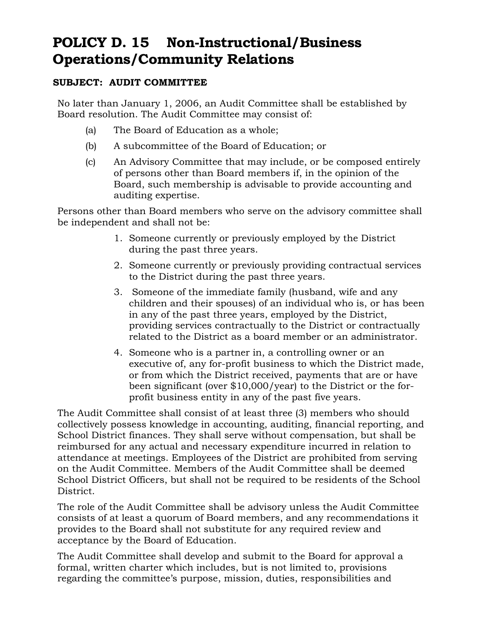### **POLICY D. 15 Non-Instructional/Business Operations/Community Relations**

#### **SUBJECT: AUDIT COMMITTEE**

No later than January 1, 2006, an Audit Committee shall be established by Board resolution. The Audit Committee may consist of:

- (a) The Board of Education as a whole;
- (b) A subcommittee of the Board of Education; or
- (c) An Advisory Committee that may include, or be composed entirely of persons other than Board members if, in the opinion of the Board, such membership is advisable to provide accounting and auditing expertise.

Persons other than Board members who serve on the advisory committee shall be independent and shall not be:

- 1. Someone currently or previously employed by the District during the past three years.
- 2. Someone currently or previously providing contractual services to the District during the past three years.
- 3. Someone of the immediate family (husband, wife and any children and their spouses) of an individual who is, or has been in any of the past three years, employed by the District, providing services contractually to the District or contractually related to the District as a board member or an administrator.
- 4. Someone who is a partner in, a controlling owner or an executive of, any for-profit business to which the District made, or from which the District received, payments that are or have been significant (over \$10,000/year) to the District or the forprofit business entity in any of the past five years.

The Audit Committee shall consist of at least three (3) members who should collectively possess knowledge in accounting, auditing, financial reporting, and School District finances. They shall serve without compensation, but shall be reimbursed for any actual and necessary expenditure incurred in relation to attendance at meetings. Employees of the District are prohibited from serving on the Audit Committee. Members of the Audit Committee shall be deemed School District Officers, but shall not be required to be residents of the School District.

The role of the Audit Committee shall be advisory unless the Audit Committee consists of at least a quorum of Board members, and any recommendations it provides to the Board shall not substitute for any required review and acceptance by the Board of Education.

The Audit Committee shall develop and submit to the Board for approval a formal, written charter which includes, but is not limited to, provisions regarding the committee's purpose, mission, duties, responsibilities and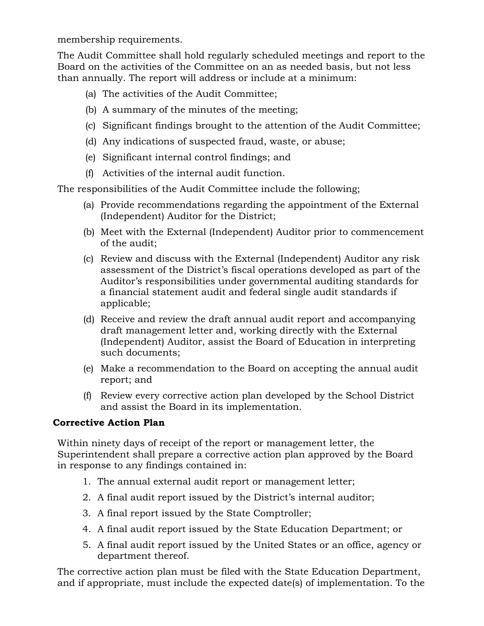membership requirements.

The Audit Committee shall hold regularly scheduled meetings and report to the Board on the activities of the Committee on an as needed basis, but not less than annually. The report will address or include at a minimum:

- (a) The activities of the Audit Committee;
- (b) A summary of the minutes of the meeting;
- (c) Significant findings brought to the attention of the Audit Committee;
- (d) Any indications of suspected fraud, waste, or abuse;
- (e) Significant internal control findings; and
- (f) Activities of the internal audit function.

The responsibilities of the Audit Committee include the following;

- (a) Provide recommendations regarding the appointment of the External (Independent) Auditor for the District;
- (b) Meet with the External (Independent) Auditor prior to commencement of the audit;
- (c) Review and discuss with the External (Independent) Auditor any risk assessment of the District's fiscal operations developed as part of the Auditor's responsibilities under governmental auditing standards for a financial statement audit and federal single audit standards if applicable;
- (d) Receive and review the draft annual audit report and accompanying draft management letter and, working directly with the External (Independent) Auditor, assist the Board of Education in interpreting such documents;
- (e) Make a recommendation to the Board on accepting the annual audit report; and
- (f) Review every corrective action plan developed by the School District and assist the Board in its implementation.

### **Corrective Action Plan**

Within ninety days of receipt of the report or management letter, the Superintendent shall prepare a corrective action plan approved by the Board in response to any findings contained in:

- 1. The annual external audit report or management letter;
- 2. A final audit report issued by the District's internal auditor;
- 3. A final report issued by the State Comptroller;
- 4. A final audit report issued by the State Education Department; or
- 5. A final audit report issued by the United States or an office, agency or department thereof.

The corrective action plan must be filed with the State Education Department, and if appropriate, must include the expected date(s) of implementation. To the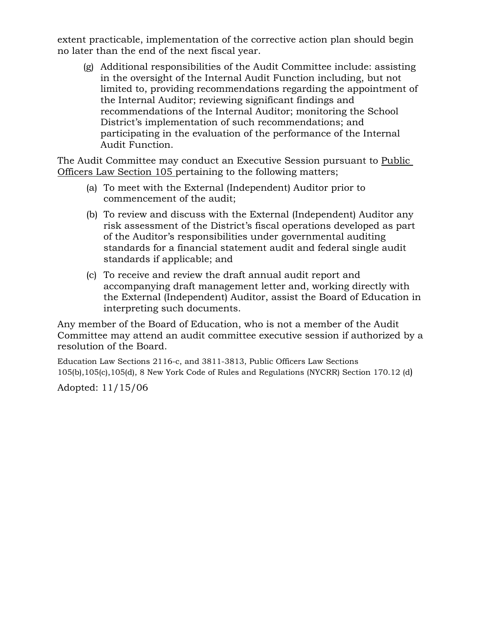extent practicable, implementation of the corrective action plan should begin no later than the end of the next fiscal year.

(g) Additional responsibilities of the Audit Committee include: assisting in the oversight of the Internal Audit Function including, but not limited to, providing recommendations regarding the appointment of the Internal Auditor; reviewing significant findings and recommendations of the Internal Auditor; monitoring the School District's implementation of such recommendations; and participating in the evaluation of the performance of the Internal Audit Function.

The Audit Committee may conduct an Executive Session pursuant to Public Officers Law Section 105 pertaining to the following matters;

- (a) To meet with the External (Independent) Auditor prior to commencement of the audit;
- (b) To review and discuss with the External (Independent) Auditor any risk assessment of the District's fiscal operations developed as part of the Auditor's responsibilities under governmental auditing standards for a financial statement audit and federal single audit standards if applicable; and
- (c) To receive and review the draft annual audit report and accompanying draft management letter and, working directly with the External (Independent) Auditor, assist the Board of Education in interpreting such documents.

Any member of the Board of Education, who is not a member of the Audit Committee may attend an audit committee executive session if authorized by a resolution of the Board.

Education Law Sections 2116-c, and 3811-3813, Public Officers Law Sections 105(b),105(c),105(d), 8 New York Code of Rules and Regulations (NYCRR) Section 170.12 (d)

Adopted: 11/15/06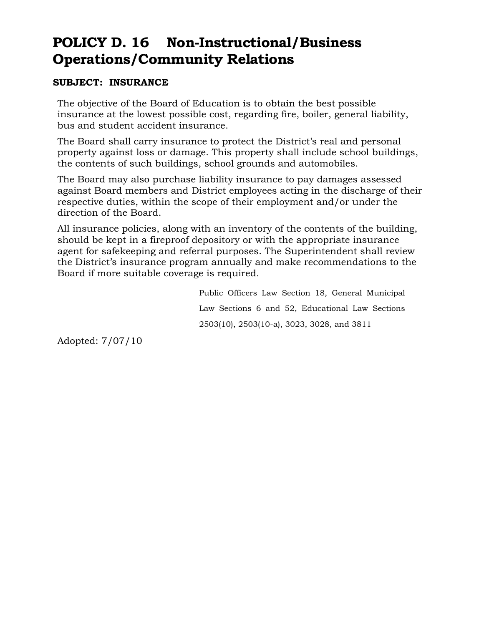### **POLICY D. 16 Non-Instructional/Business Operations/Community Relations**

#### **SUBJECT: INSURANCE**

The objective of the Board of Education is to obtain the best possible insurance at the lowest possible cost, regarding fire, boiler, general liability, bus and student accident insurance.

The Board shall carry insurance to protect the District's real and personal property against loss or damage. This property shall include school buildings, the contents of such buildings, school grounds and automobiles.

The Board may also purchase liability insurance to pay damages assessed against Board members and District employees acting in the discharge of their respective duties, within the scope of their employment and/or under the direction of the Board.

All insurance policies, along with an inventory of the contents of the building, should be kept in a fireproof depository or with the appropriate insurance agent for safekeeping and referral purposes. The Superintendent shall review the District's insurance program annually and make recommendations to the Board if more suitable coverage is required.

> Public Officers Law Section 18, General Municipal Law Sections 6 and 52, Educational Law Sections 2503(10), 2503(10-a), 3023, 3028, and 3811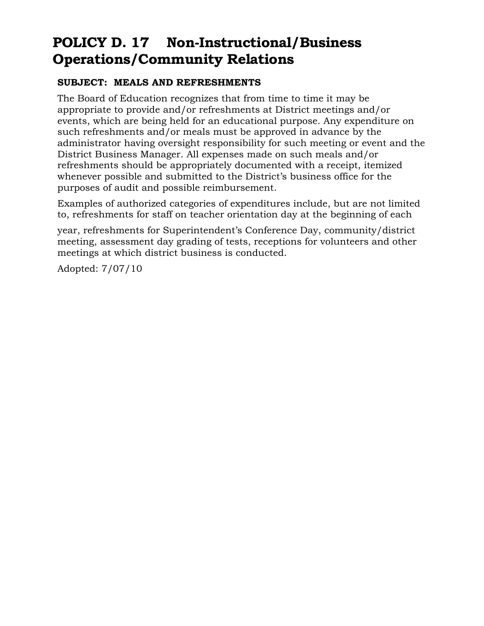### **POLICY D. 17 Non-Instructional/Business Operations/Community Relations**

#### **SUBJECT: MEALS AND REFRESHMENTS**

The Board of Education recognizes that from time to time it may be appropriate to provide and/or refreshments at District meetings and/or events, which are being held for an educational purpose. Any expenditure on such refreshments and/or meals must be approved in advance by the administrator having oversight responsibility for such meeting or event and the District Business Manager. All expenses made on such meals and/or refreshments should be appropriately documented with a receipt, itemized whenever possible and submitted to the District's business office for the purposes of audit and possible reimbursement.

Examples of authorized categories of expenditures include, but are not limited to, refreshments for staff on teacher orientation day at the beginning of each

year, refreshments for Superintendent's Conference Day, community/district meeting, assessment day grading of tests, receptions for volunteers and other meetings at which district business is conducted.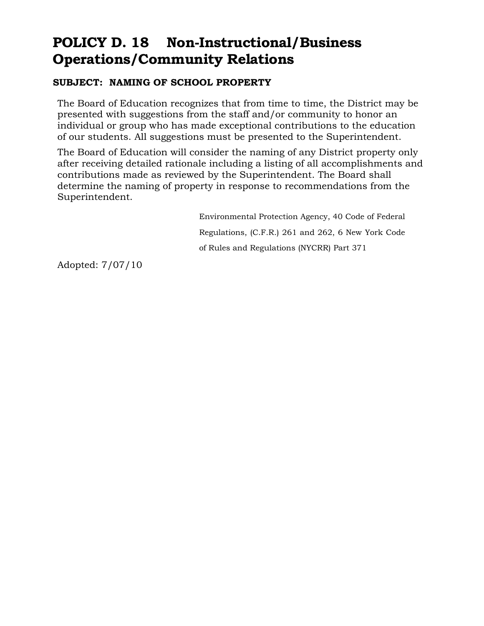### **POLICY D. 18 Non-Instructional/Business Operations/Community Relations**

#### **SUBJECT: NAMING OF SCHOOL PROPERTY**

The Board of Education recognizes that from time to time, the District may be presented with suggestions from the staff and/or community to honor an individual or group who has made exceptional contributions to the education of our students. All suggestions must be presented to the Superintendent.

The Board of Education will consider the naming of any District property only after receiving detailed rationale including a listing of all accomplishments and contributions made as reviewed by the Superintendent. The Board shall determine the naming of property in response to recommendations from the Superintendent.

> Environmental Protection Agency, 40 Code of Federal Regulations, (C.F.R.) 261 and 262, 6 New York Code of Rules and Regulations (NYCRR) Part 371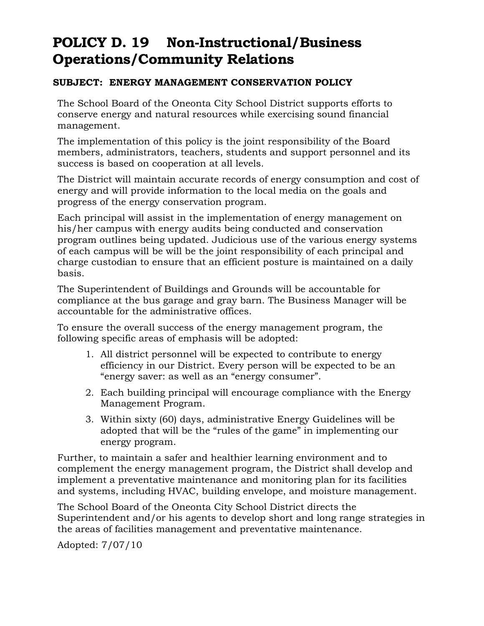### **POLICY D. 19 Non-Instructional/Business Operations/Community Relations**

#### **SUBJECT: ENERGY MANAGEMENT CONSERVATION POLICY**

The School Board of the Oneonta City School District supports efforts to conserve energy and natural resources while exercising sound financial management.

The implementation of this policy is the joint responsibility of the Board members, administrators, teachers, students and support personnel and its success is based on cooperation at all levels.

The District will maintain accurate records of energy consumption and cost of energy and will provide information to the local media on the goals and progress of the energy conservation program.

Each principal will assist in the implementation of energy management on his/her campus with energy audits being conducted and conservation program outlines being updated. Judicious use of the various energy systems of each campus will be will be the joint responsibility of each principal and charge custodian to ensure that an efficient posture is maintained on a daily basis.

The Superintendent of Buildings and Grounds will be accountable for compliance at the bus garage and gray barn. The Business Manager will be accountable for the administrative offices.

To ensure the overall success of the energy management program, the following specific areas of emphasis will be adopted:

- 1. All district personnel will be expected to contribute to energy efficiency in our District. Every person will be expected to be an "energy saver: as well as an "energy consumer".
- 2. Each building principal will encourage compliance with the Energy Management Program.
- 3. Within sixty (60) days, administrative Energy Guidelines will be adopted that will be the "rules of the game" in implementing our energy program.

Further, to maintain a safer and healthier learning environment and to complement the energy management program, the District shall develop and implement a preventative maintenance and monitoring plan for its facilities and systems, including HVAC, building envelope, and moisture management.

The School Board of the Oneonta City School District directs the Superintendent and/or his agents to develop short and long range strategies in the areas of facilities management and preventative maintenance.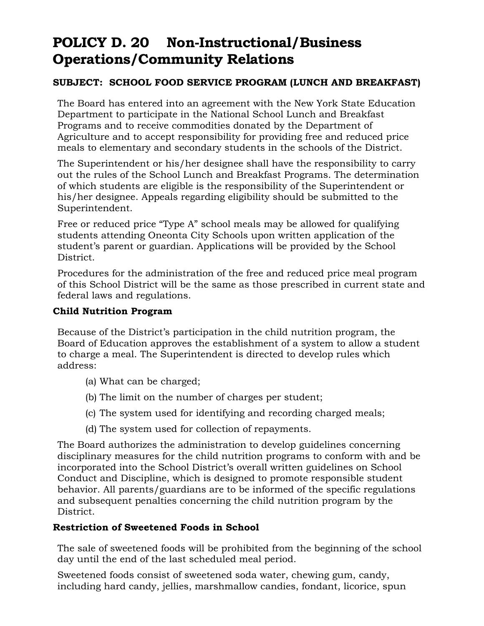### **POLICY D. 20 Non-Instructional/Business Operations/Community Relations**

#### **SUBJECT: SCHOOL FOOD SERVICE PROGRAM (LUNCH AND BREAKFAST)**

The Board has entered into an agreement with the New York State Education Department to participate in the National School Lunch and Breakfast Programs and to receive commodities donated by the Department of Agriculture and to accept responsibility for providing free and reduced price meals to elementary and secondary students in the schools of the District.

The Superintendent or his/her designee shall have the responsibility to carry out the rules of the School Lunch and Breakfast Programs. The determination of which students are eligible is the responsibility of the Superintendent or his/her designee. Appeals regarding eligibility should be submitted to the Superintendent.

Free or reduced price "Type A" school meals may be allowed for qualifying students attending Oneonta City Schools upon written application of the student's parent or guardian. Applications will be provided by the School District.

Procedures for the administration of the free and reduced price meal program of this School District will be the same as those prescribed in current state and federal laws and regulations.

#### **Child Nutrition Program**

Because of the District's participation in the child nutrition program, the Board of Education approves the establishment of a system to allow a student to charge a meal. The Superintendent is directed to develop rules which address:

- (a) What can be charged;
- (b) The limit on the number of charges per student;
- (c) The system used for identifying and recording charged meals;
- (d) The system used for collection of repayments.

The Board authorizes the administration to develop guidelines concerning disciplinary measures for the child nutrition programs to conform with and be incorporated into the School District's overall written guidelines on School Conduct and Discipline, which is designed to promote responsible student behavior. All parents/guardians are to be informed of the specific regulations and subsequent penalties concerning the child nutrition program by the District.

#### **Restriction of Sweetened Foods in School**

The sale of sweetened foods will be prohibited from the beginning of the school day until the end of the last scheduled meal period.

Sweetened foods consist of sweetened soda water, chewing gum, candy, including hard candy, jellies, marshmallow candies, fondant, licorice, spun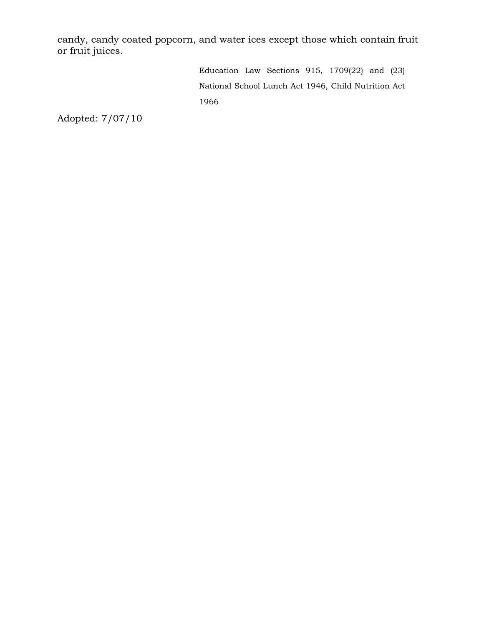candy, candy coated popcorn, and water ices except those which contain fruit or fruit juices.

> Education Law Sections 915, 1709(22) and (23) National School Lunch Act 1946, Child Nutrition Act 1966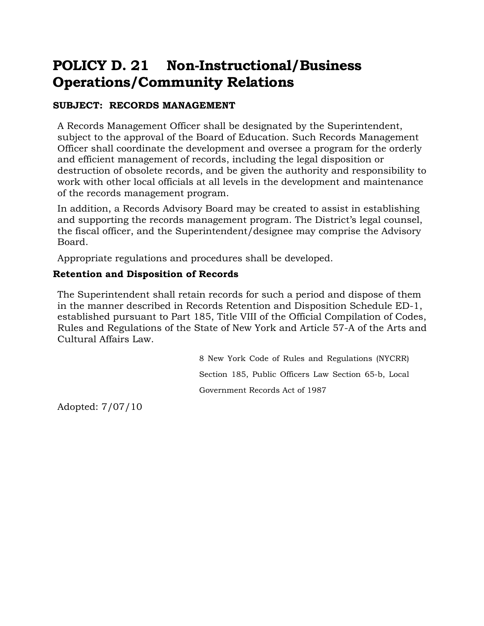### **POLICY D. 21 Non-Instructional/Business Operations/Community Relations**

#### **SUBJECT: RECORDS MANAGEMENT**

A Records Management Officer shall be designated by the Superintendent, subject to the approval of the Board of Education. Such Records Management Officer shall coordinate the development and oversee a program for the orderly and efficient management of records, including the legal disposition or destruction of obsolete records, and be given the authority and responsibility to work with other local officials at all levels in the development and maintenance of the records management program.

In addition, a Records Advisory Board may be created to assist in establishing and supporting the records management program. The District's legal counsel, the fiscal officer, and the Superintendent/designee may comprise the Advisory Board.

Appropriate regulations and procedures shall be developed.

#### **Retention and Disposition of Records**

The Superintendent shall retain records for such a period and dispose of them in the manner described in Records Retention and Disposition Schedule ED-1, established pursuant to Part 185, Title VIII of the Official Compilation of Codes, Rules and Regulations of the State of New York and Article 57-A of the Arts and Cultural Affairs Law.

> 8 New York Code of Rules and Regulations (NYCRR) Section 185, Public Officers Law Section 65-b, Local Government Records Act of 1987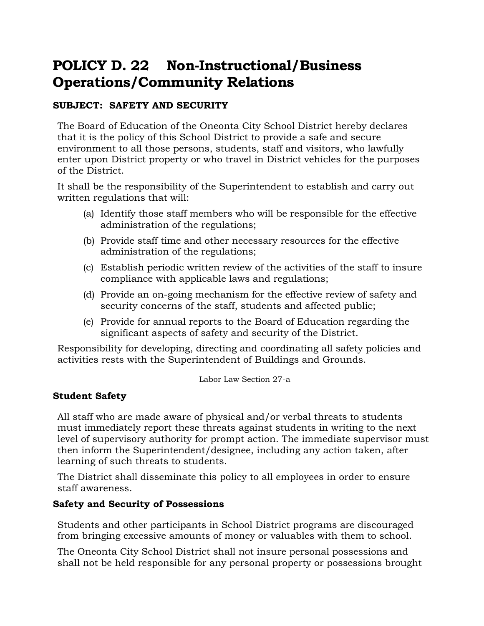### **POLICY D. 22 Non-Instructional/Business Operations/Community Relations**

#### **SUBJECT: SAFETY AND SECURITY**

The Board of Education of the Oneonta City School District hereby declares that it is the policy of this School District to provide a safe and secure environment to all those persons, students, staff and visitors, who lawfully enter upon District property or who travel in District vehicles for the purposes of the District.

It shall be the responsibility of the Superintendent to establish and carry out written regulations that will:

- (a) Identify those staff members who will be responsible for the effective administration of the regulations;
- (b) Provide staff time and other necessary resources for the effective administration of the regulations;
- (c) Establish periodic written review of the activities of the staff to insure compliance with applicable laws and regulations;
- (d) Provide an on-going mechanism for the effective review of safety and security concerns of the staff, students and affected public;
- (e) Provide for annual reports to the Board of Education regarding the significant aspects of safety and security of the District.

Responsibility for developing, directing and coordinating all safety policies and activities rests with the Superintendent of Buildings and Grounds.

Labor Law Section 27-a

#### **Student Safety**

All staff who are made aware of physical and/or verbal threats to students must immediately report these threats against students in writing to the next level of supervisory authority for prompt action. The immediate supervisor must then inform the Superintendent/designee, including any action taken, after learning of such threats to students.

The District shall disseminate this policy to all employees in order to ensure staff awareness.

#### **Safety and Security of Possessions**

Students and other participants in School District programs are discouraged from bringing excessive amounts of money or valuables with them to school.

The Oneonta City School District shall not insure personal possessions and shall not be held responsible for any personal property or possessions brought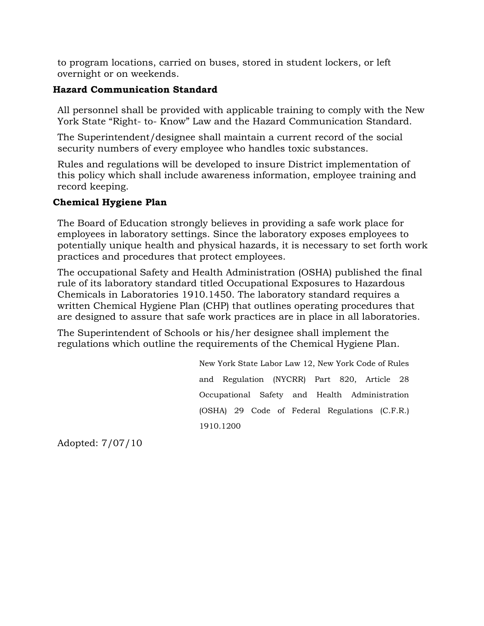to program locations, carried on buses, stored in student lockers, or left overnight or on weekends.

#### **Hazard Communication Standard**

All personnel shall be provided with applicable training to comply with the New York State "Right- to- Know" Law and the Hazard Communication Standard.

The Superintendent/designee shall maintain a current record of the social security numbers of every employee who handles toxic substances.

Rules and regulations will be developed to insure District implementation of this policy which shall include awareness information, employee training and record keeping.

#### **Chemical Hygiene Plan**

The Board of Education strongly believes in providing a safe work place for employees in laboratory settings. Since the laboratory exposes employees to potentially unique health and physical hazards, it is necessary to set forth work practices and procedures that protect employees.

The occupational Safety and Health Administration (OSHA) published the final rule of its laboratory standard titled Occupational Exposures to Hazardous Chemicals in Laboratories 1910.1450. The laboratory standard requires a written Chemical Hygiene Plan (CHP) that outlines operating procedures that are designed to assure that safe work practices are in place in all laboratories.

The Superintendent of Schools or his/her designee shall implement the regulations which outline the requirements of the Chemical Hygiene Plan.

> New York State Labor Law 12, New York Code of Rules and Regulation (NYCRR) Part 820, Article 28 Occupational Safety and Health Administration (OSHA) 29 Code of Federal Regulations (C.F.R.) 1910.1200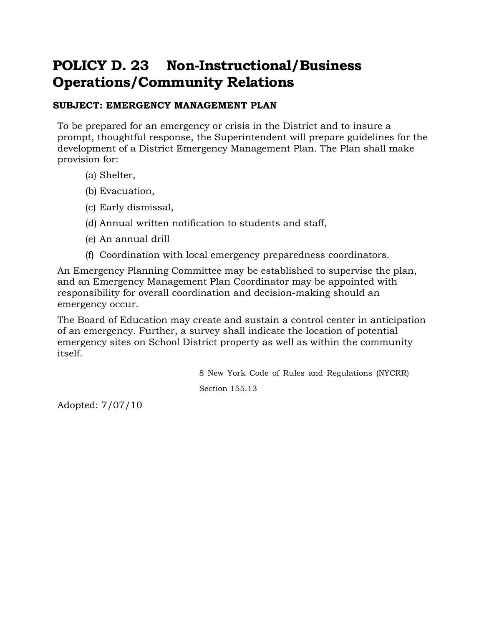### **POLICY D. 23 Non-Instructional/Business Operations/Community Relations**

#### **SUBJECT: EMERGENCY MANAGEMENT PLAN**

To be prepared for an emergency or crisis in the District and to insure a prompt, thoughtful response, the Superintendent will prepare guidelines for the development of a District Emergency Management Plan. The Plan shall make provision for:

- (a) Shelter,
- (b) Evacuation,
- (c) Early dismissal,
- (d) Annual written notification to students and staff,
- (e) An annual drill
- (f) Coordination with local emergency preparedness coordinators.

An Emergency Planning Committee may be established to supervise the plan, and an Emergency Management Plan Coordinator may be appointed with responsibility for overall coordination and decision-making should an emergency occur.

The Board of Education may create and sustain a control center in anticipation of an emergency. Further, a survey shall indicate the location of potential emergency sites on School District property as well as within the community itself.

> 8 New York Code of Rules and Regulations (NYCRR) Section 155.13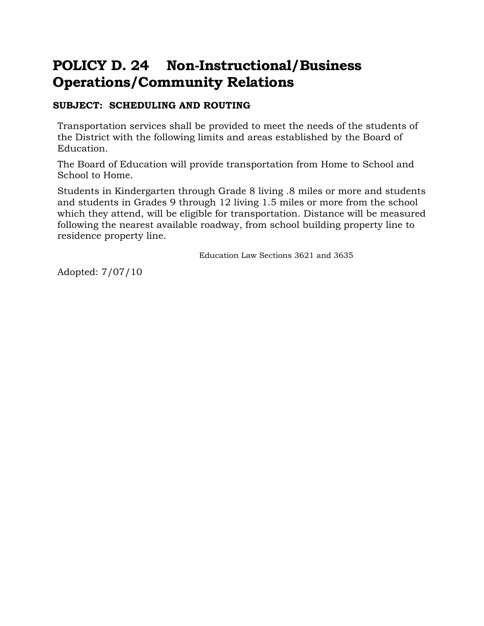### **POLICY D. 24 Non-Instructional/Business Operations/Community Relations**

#### **SUBJECT: SCHEDULING AND ROUTING**

Transportation services shall be provided to meet the needs of the students of the District with the following limits and areas established by the Board of Education.

The Board of Education will provide transportation from Home to School and School to Home.

Students in Kindergarten through Grade 8 living .8 miles or more and students and students in Grades 9 through 12 living 1.5 miles or more from the school which they attend, will be eligible for transportation. Distance will be measured following the nearest available roadway, from school building property line to residence property line.

Education Law Sections 3621 and 3635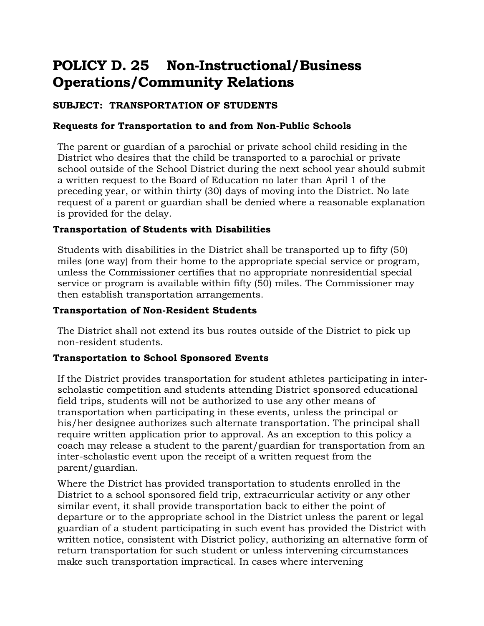### **POLICY D. 25 Non-Instructional/Business Operations/Community Relations**

### **SUBJECT: TRANSPORTATION OF STUDENTS**

#### **Requests for Transportation to and from Non-Public Schools**

The parent or guardian of a parochial or private school child residing in the District who desires that the child be transported to a parochial or private school outside of the School District during the next school year should submit a written request to the Board of Education no later than April 1 of the preceding year, or within thirty (30) days of moving into the District. No late request of a parent or guardian shall be denied where a reasonable explanation is provided for the delay.

#### **Transportation of Students with Disabilities**

Students with disabilities in the District shall be transported up to fifty (50) miles (one way) from their home to the appropriate special service or program, unless the Commissioner certifies that no appropriate nonresidential special service or program is available within fifty (50) miles. The Commissioner may then establish transportation arrangements.

#### **Transportation of Non-Resident Students**

The District shall not extend its bus routes outside of the District to pick up non-resident students.

#### **Transportation to School Sponsored Events**

If the District provides transportation for student athletes participating in interscholastic competition and students attending District sponsored educational field trips, students will not be authorized to use any other means of transportation when participating in these events, unless the principal or his/her designee authorizes such alternate transportation. The principal shall require written application prior to approval. As an exception to this policy a coach may release a student to the parent/guardian for transportation from an inter-scholastic event upon the receipt of a written request from the parent/guardian.

Where the District has provided transportation to students enrolled in the District to a school sponsored field trip, extracurricular activity or any other similar event, it shall provide transportation back to either the point of departure or to the appropriate school in the District unless the parent or legal guardian of a student participating in such event has provided the District with written notice, consistent with District policy, authorizing an alternative form of return transportation for such student or unless intervening circumstances make such transportation impractical. In cases where intervening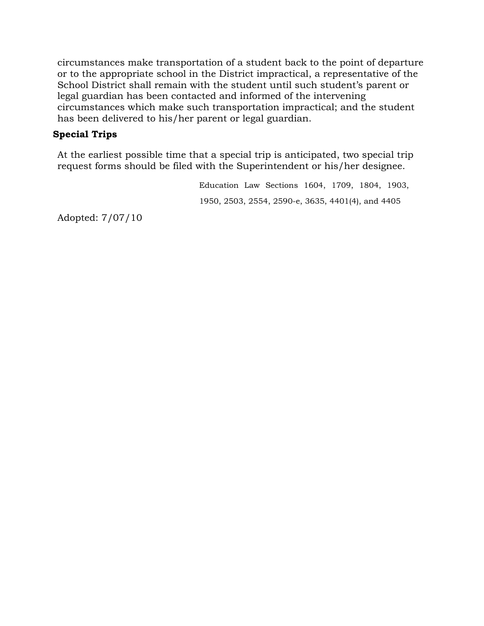circumstances make transportation of a student back to the point of departure or to the appropriate school in the District impractical, a representative of the School District shall remain with the student until such student's parent or legal guardian has been contacted and informed of the intervening circumstances which make such transportation impractical; and the student has been delivered to his/her parent or legal guardian.

#### **Special Trips**

At the earliest possible time that a special trip is anticipated, two special trip request forms should be filed with the Superintendent or his/her designee.

> Education Law Sections 1604, 1709, 1804, 1903, 1950, 2503, 2554, 2590-e, 3635, 4401(4), and 4405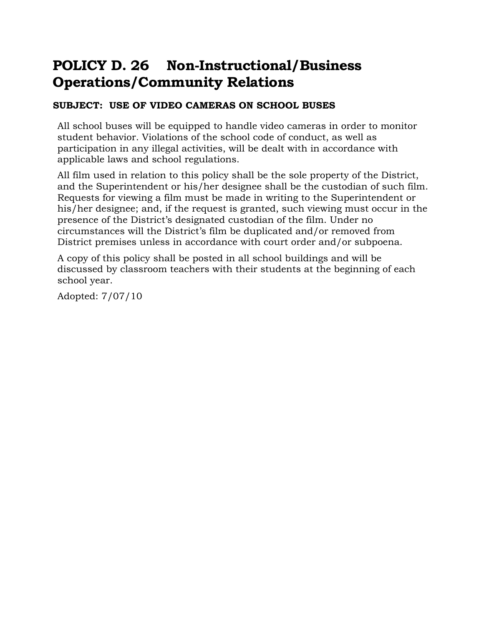### **POLICY D. 26 Non-Instructional/Business Operations/Community Relations**

#### **SUBJECT: USE OF VIDEO CAMERAS ON SCHOOL BUSES**

All school buses will be equipped to handle video cameras in order to monitor student behavior. Violations of the school code of conduct, as well as participation in any illegal activities, will be dealt with in accordance with applicable laws and school regulations.

All film used in relation to this policy shall be the sole property of the District, and the Superintendent or his/her designee shall be the custodian of such film. Requests for viewing a film must be made in writing to the Superintendent or his/her designee; and, if the request is granted, such viewing must occur in the presence of the District's designated custodian of the film. Under no circumstances will the District's film be duplicated and/or removed from District premises unless in accordance with court order and/or subpoena.

A copy of this policy shall be posted in all school buildings and will be discussed by classroom teachers with their students at the beginning of each school year.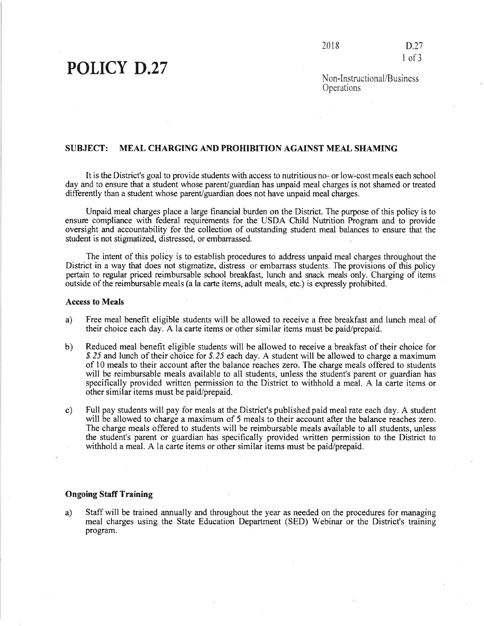## **POLICY D.27**

Non-Instructional/Business Operations

#### **SUBJECT: MEAL CHARGING AND PROHIBITION AGAINST MEAL SHAMING**

It is the District's goal to provide students with access to nutritious no- or low-cost meals each school day and to ensure that a student whose parent/guardian has unpaid meal charges is not shamed or treated differently than a student whose parent/guardian does not have unpaid meal charges.

Unpaid meal charges place a large financial burden on the District. The purpose of this policy is to ensure compliance with federal requirements for the USDA Child Nutrition Program and to provide oversight and accountability for the collection of outstanding student meal balances to ensure that the student is not stigmatized, distressed, or embarrassed.

The intent of this policy is to establish procedures to address unpaid meal charges throughout the District in a way that does not stigmatize, distress or embarrass students. The provisions of this policy pertain to regular priced reimbursable school breakfast, lunch and snack meals only. Charging of items outside of the reimbursable meals (a la carte items, adult meals, etc.) is expressly prohibited.

#### **Access to Meals**

- a) Free meal benefit eligible students will be allowed to receive a free breakfast and lunch meal of their choice each day. A la carte items or other similar items must be paid/prepaid.
- $b)$ Reduced meal benefit eligible students will be allowed to receive a breakfast of their choice for \$.25 and lunch of their choice for \$.25 each day. A student will be allowed to charge a maximum of 10 meals to their account after the balance reaches zero. The charge meals offered to students will be reimbursable meals available to all students, unless the student's parent or guardian has specifically provided written permission to the District to withhold a meal. A la carte items or other similar items must be paid/prepaid.
- Full pay students will pay for meals at the District's published paid meal rate each day. A student  $\mathbf{c}$ ) will be allowed to charge a maximum of 5 meals to their account after the balance reaches zero. The charge meals offered to students will be reimbursable meals available to all students, unless the student's parent or guardian has specifically provided written permission to the District to withhold a meal. A la carte items or other similar items must be paid/prepaid.

#### **Ongoing Staff Training**

a) Staff will be trained annually and throughout the year as needed on the procedures for managing meal charges using the State Education Department (SED) Webinar or the District's training program.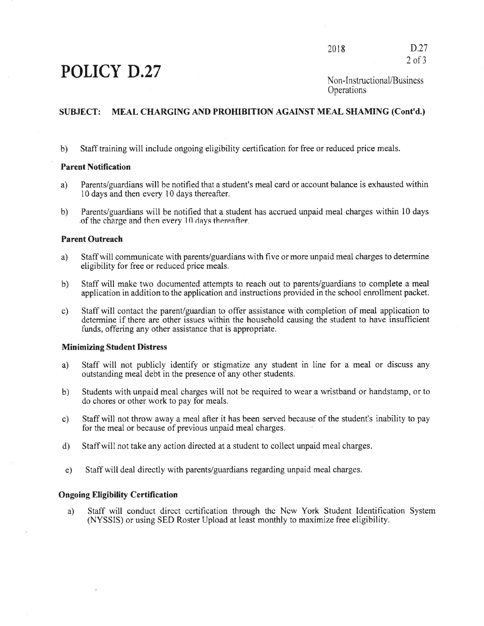## POLICY D.27

 $D.27$ 2018  $2$  of  $3$ 

#### MEAL CHARGING AND PROHIBITION AGAINST MEAL SHAMING (Cont'd.) **SUBJECT:**

Staff training will include ongoing eligibility certification for free or reduced price meals.  $b)$ 

#### **Parent Notification**

- Parents/guardians will be notified that a student's meal card or account balance is exhausted within a) 10 days and then every 10 days thereafter.
- Parents/guardians will be notified that a student has accrued unpaid meal charges within 10 days  $b)$ of the charge and then every 10 days thereafter.

#### **Parent Outreach**

- Staff will communicate with parents/guardians with five or more unpaid meal charges to determine a) eligibility for free or reduced price meals.
- Staff will make two documented attempts to reach out to parents/guardians to complete a meal b) application in addition to the application and instructions provided in the school enrollment packet.
- Staff will contact the parent/guardian to offer assistance with completion of meal application to c) determine if there are other issues within the household causing the student to have insufficient funds, offering any other assistance that is appropriate.

#### **Minimizing Student Distress**

- Staff will not publicly identify or stigmatize any student in line for a meal or discuss any a) outstanding meal debt in the presence of any other students.
- Students with unpaid meal charges will not be required to wear a wristband or handstamp, or to  $b)$ do chores or other work to pay for meals.
- Staff will not throw away a meal after it has been served because of the student's inability to pay  $c)$ for the meal or because of previous unpaid meal charges.
- Staff will not take any action directed at a student to collect unpaid meal charges.  $\mathbf{d}$
- Staff will deal directly with parents/guardians regarding unpaid meal charges.  $e)$

#### **Ongoing Eligibility Certification**

Staff will conduct direct certification through the New York Student Identification System a) (NYSSIS) or using SED Roster Upload at least monthly to maximize free eligibility.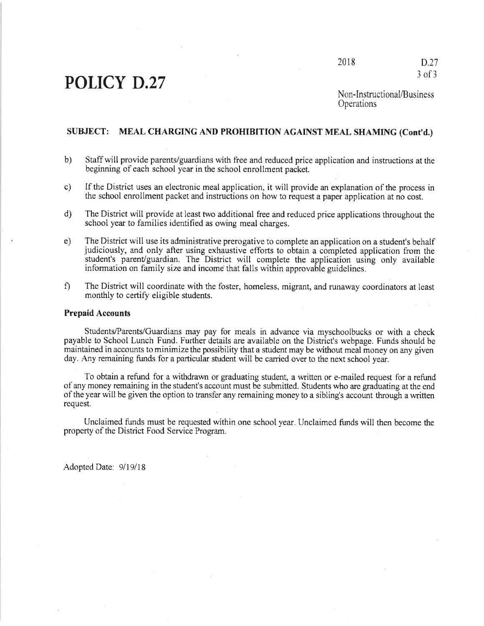## **POLICY D.27**

2018

 $D.27$  $3$  of  $3$ 

Non-Instructional/Business Operations

#### SUBJECT: MEAL CHARGING AND PROHIBITION AGAINST MEAL SHAMING (Cont'd.)

- $b)$ Staff will provide parents/guardians with free and reduced price application and instructions at the beginning of each school year in the school enrollment packet.
- If the District uses an electronic meal application, it will provide an explanation of the process in  $c)$ the school enrollment packet and instructions on how to request a paper application at no cost.
- $d)$ The District will provide at least two additional free and reduced price applications throughout the school year to families identified as owing meal charges.
- $e)$ The District will use its administrative prerogative to complete an application on a student's behalf judiciously, and only after using exhaustive efforts to obtain a completed application from the student's parent/guardian. The District will complete the application using only available information on family size and income that falls within approvable guidelines.
- $\hat{\Pi}$ The District will coordinate with the foster, homeless, migrant, and runaway coordinators at least monthly to certify eligible students.

#### **Prepaid Accounts**

Students/Parents/Guardians may pay for meals in advance via myschoolbucks or with a check payable to School Lunch Fund. Further details are available on the District's webpage. Funds should be maintained in accounts to minimize the possibility that a student may be without meal money on any given day. Any remaining funds for a particular student will be carried over to the next school year.

To obtain a refund for a withdrawn or graduating student, a written or e-mailed request for a refund of any money remaining in the student's account must be submitted. Students who are graduating at the end of the year will be given the option to transfer any remaining money to a sibling's account through a written request.

Unclaimed funds must be requested within one school year. Unclaimed funds will then become the property of the District Food Service Program.

Adopted Date: 9/19/18